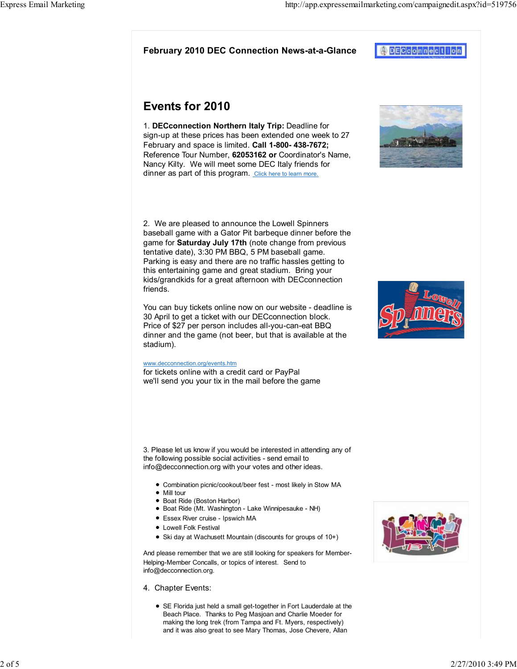# February 2010 DEC Connection News-at-a-Glance

# Events for 2010

1. DECconnection Northern Italy Trip: Deadline for sign-up at these prices has been extended one week to 27 February and space is limited. Call 1-800- 438-7672; Reference Tour Number, 62053162 or Coordinator's Name. Nancy Kilty. We will meet some DEC Italy friends for dinner as part of this program. Click here to learn more.

2. We are pleased to announce the Lowell Spinners baseball game with a Gator Pit barbeque dinner before the game for Saturday July 17th (note change from previous tentative date), 3:30 PM BBQ, 5 PM baseball game. Parking is easy and there are no traffic hassles getting to this entertaining game and great stadium. Bring your kids/grandkids for a great afternoon with DECconnection friends.

You can buy tickets online now on our website - deadline is 30 April to get a ticket with our DECconnection block. Price of \$27 per person includes all-you-can-eat BBQ dinner and the game (not beer, but that is available at the stadium).

### www.decconnection.org/events.htm

for tickets online with a credit card or PayPal we'll send you your tix in the mail before the game

3. Please let us know if you would be interested in attending any of the following possible social activities - send email to info@decconnection.org with your votes and other ideas.

- Combination picnic/cookout/beer fest most likely in Stow MA
- Mill tour
- **Boat Ride (Boston Harbor)**
- Boat Ride (Mt. Washington Lake Winnipesauke NH)
- Essex River cruise Ipswich MA
- Lowell Folk Festival
- Ski day at Wachusett Mountain (discounts for groups of 10+)

And please remember that we are still looking for speakers for Member-Helping-Member Concalls, or topics of interest. Send to info@decconnection.org.

- 4. Chapter Events:
	- SE Florida just held a small get-together in Fort Lauderdale at the Beach Place. Thanks to Peg Masjoan and Charlie Moeder for making the long trek (from Tampa and Ft. Myers, respectively) and it was also great to see Mary Thomas, Jose Chevere, Allan









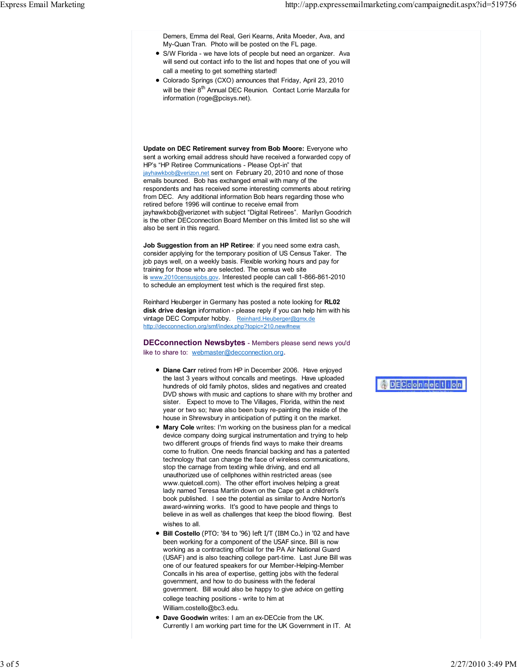Demers, Emma del Real, Geri Kearns, Anita Moeder, Ava, and My-Quan Tran. Photo will be posted on the FL page.

- S/W Florida we have lots of people but need an organizer. Ava will send out contact info to the list and hopes that one of you will call a meeting to get something started!
- Colorado Springs (CXO) announces that Friday, April 23, 2010 will be their 8<sup>th</sup> Annual DEC Reunion. Contact Lorrie Marzulla for information (roge@pcisys.net).

Update on DEC Retirement survey from Bob Moore: Everyone who sent a working email address should have received a forwarded copy of HP's "HP Retiree Communications - Please Opt-in" that jayhawkbob@verizon.net sent on February 20, 2010 and none of those emails bounced. Bob has exchanged email with many of the respondents and has received some interesting comments about retiring from DEC. Any additional information Bob hears regarding those who retired before 1996 will continue to receive email from jayhawkbob@verizonet with subject "Digital Retirees". Marilyn Goodrich is the other DECconnection Board Member on this limited list so she will also be sent in this regard.

Job Suggestion from an HP Retiree: if you need some extra cash, consider applying for the temporary position of US Census Taker. The job pays well, on a weekly basis. Flexible working hours and pay for training for those who are selected. The census web site is www.2010censusjobs.gov. Interested people can call 1-866-861-2010 to schedule an employment test which is the required first step.

Reinhard Heuberger in Germany has posted a note looking for RL02 disk drive design information - please reply if you can help him with his vintage DEC Computer hobby. Reinhard.Heuberger@gmx.de http://decconnection.org/smf/index.php?topic=210.new#new

DECconnection Newsbytes - Members please send news you'd like to share to: webmaster@decconnection.org.

- Diane Carr retired from HP in December 2006. Have enjoyed the last 3 years without concalls and meetings. Have uploaded hundreds of old family photos, slides and negatives and created DVD shows with music and captions to share with my brother and sister. Expect to move to The Villages, Florida, within the next year or two so; have also been busy re-painting the inside of the house in Shrewsbury in anticipation of putting it on the market.
- $\bullet$  Mary Cole writes: I'm working on the business plan for a medical device company doing surgical instrumentation and trying to help two different groups of friends find ways to make their dreams come to fruition. One needs financial backing and has a patented technology that can change the face of wireless communications, stop the carnage from texting while driving, and end all unauthorized use of cellphones within restricted areas (see www.quietcell.com). The other effort involves helping a great lady named Teresa Martin down on the Cape get a children's book published. I see the potential as similar to Andre Norton's award-winning works. It's good to have people and things to believe in as well as challenges that keep the blood flowing. Best wishes to all.
- Bill Costello (PTO: '84 to '96) left I/T (IBM Co.) in '02 and have been working for a component of the USAF since. Bill is now working as a contracting official for the PA Air National Guard (USAF) and is also teaching college part-time. Last June Bill was one of our featured speakers for our Member-Helping-Member Concalls in his area of expertise, getting jobs with the federal government, and how to do business with the federal government. Bill would also be happy to give advice on getting college teaching positions - write to him at William.costello@bc3.edu.
- Dave Goodwin writes: I am an ex-DECcie from the UK. Currently I am working part time for the UK Government in IT. At

ADECCONNection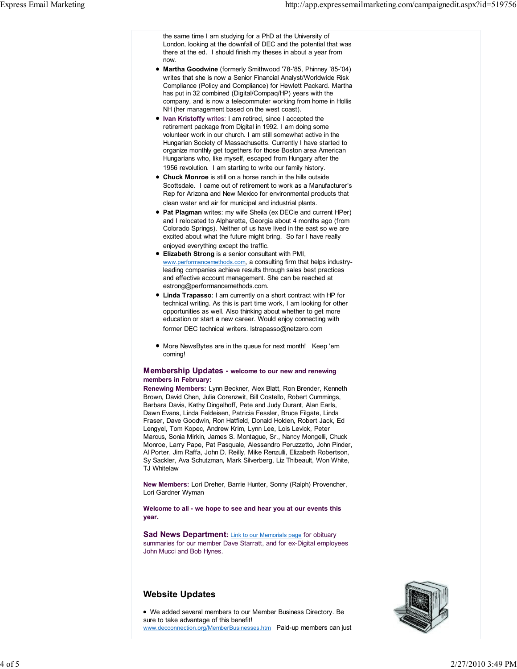the same time I am studying for a PhD at the University of London, looking at the downfall of DEC and the potential that was there at the ed. I should finish my theses in about a year from now.

- Martha Goodwine (formerly Smithwood '78-'85, Phinney '85-'04) writes that she is now a Senior Financial Analyst/Worldwide Risk Compliance (Policy and Compliance) for Hewlett Packard. Martha has put in 32 combined (Digital/Compaq/HP) years with the company, and is now a telecommuter working from home in Hollis NH (her management based on the west coast).
- Ivan Kristoffy writes: I am retired, since I accepted the retirement package from Digital in 1992. I am doing some volunteer work in our church. I am still somewhat active in the Hungarian Society of Massachusetts. Currently I have started to organize monthly get togethers for those Boston area American Hungarians who, like myself, escaped from Hungary after the 1956 revolution. I am starting to write our family history.
- Chuck Monroe is still on a horse ranch in the hills outside Scottsdale. I came out of retirement to work as a Manufacturer's Rep for Arizona and New Mexico for environmental products that clean water and air for municipal and industrial plants.
- Pat Plagman writes: my wife Sheila (ex DECie and current HPer) and I relocated to Alpharetta, Georgia about 4 months ago (from Colorado Springs). Neither of us have lived in the east so we are excited about what the future might bring. So far I have really enjoyed everything except the traffic.
- **Elizabeth Strong** is a senior consultant with PMI, www.performancemethods.com, a consulting firm that helps industryleading companies achieve results through sales best practices and effective account management. She can be reached at estrong@performancemethods.com.
- Linda Trapasso: I am currently on a short contract with HP for technical writing. As this is part time work, I am looking for other opportunities as well. Also thinking about whether to get more education or start a new career. Would enjoy connecting with former DEC technical writers. lstrapasso@netzero.com
- More NewsBytes are in the queue for next month! Keep 'em coming!

#### Membership Updates - welcome to our new and renewing members in February:

Renewing Members: Lynn Beckner, Alex Blatt, Ron Brender, Kenneth Brown, David Chen, Julia Corenzwit, Bill Costello, Robert Cummings, Barbara Davis, Kathy Dingelhoff, Pete and Judy Durant, Alan Earls, Dawn Evans, Linda Feldeisen, Patricia Fessler, Bruce Filgate, Linda Fraser, Dave Goodwin, Ron Hatfield, Donald Holden, Robert Jack, Ed Lengyel, Tom Kopec, Andrew Krim, Lynn Lee, Lois Levick, Peter Marcus, Sonia Mirkin, James S. Montague, Sr., Nancy Mongelli, Chuck Monroe, Larry Pape, Pat Pasquale, Alessandro Peruzzetto, John Pinder, Al Porter, Jim Raffa, John D. Reilly, Mike Renzulli, Elizabeth Robertson, Sy Sackler, Ava Schutzman, Mark Silverberg, Liz Thibeault, Won White, TJ Whitelaw

New Members: Lori Dreher, Barrie Hunter, Sonny (Ralph) Provencher, Lori Gardner Wyman

Welcome to all - we hope to see and hear you at our events this year.

Sad News Department: Link to our Memorials page for obituary summaries for our member Dave Starratt, and for ex-Digital employees John Mucci and Bob Hynes.

## Website Updates

We added several members to our Member Business Directory. Be sure to take advantage of this benefit! www.decconnection.org/MemberBusinesses.htm Paid-up members can just